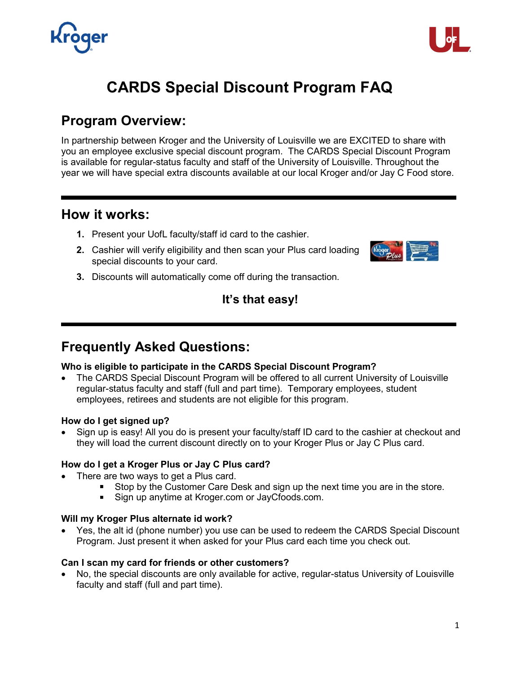

# **CARDS Special Discount Program FAQ**

# **Program Overview:**

In partnership between Kroger and the University of Louisville we are EXCITED to share with you an employee exclusive special discount program. The CARDS Special Discount Program is available for regular-status faculty and staff of the University of Louisville. Throughout the year we will have special extra discounts available at our local Kroger and/or Jay C Food store.

# **How it works:**

- **1.** Present your UofL faculty/staff id card to the cashier.
- **2.** Cashier will verify eligibility and then scan your Plus card loading special discounts to your card.



**3.** Discounts will automatically come off during the transaction.

# **It's that easy!**

# **Frequently Asked Questions:**

### **Who is eligible to participate in the CARDS Special Discount Program?**

• The CARDS Special Discount Program will be offered to all current University of Louisville regular-status faculty and staff (full and part time). Temporary employees, student employees, retirees and students are not eligible for this program.

#### **How do I get signed up?**

• Sign up is easy! All you do is present your faculty/staff ID card to the cashier at checkout and they will load the current discount directly on to your Kroger Plus or Jay C Plus card.

#### **How do I get a Kroger Plus or Jay C Plus card?**

- There are two ways to get a Plus card.
	- Stop by the Customer Care Desk and sign up the next time you are in the store.
	- **Sign up anytime at Kroger.com or JayCfoods.com.**

#### **Will my Kroger Plus alternate id work?**

• Yes, the alt id (phone number) you use can be used to redeem the CARDS Special Discount Program. Just present it when asked for your Plus card each time you check out.

#### **Can I scan my card for friends or other customers?**

• No, the special discounts are only available for active, regular-status University of Louisville faculty and staff (full and part time).